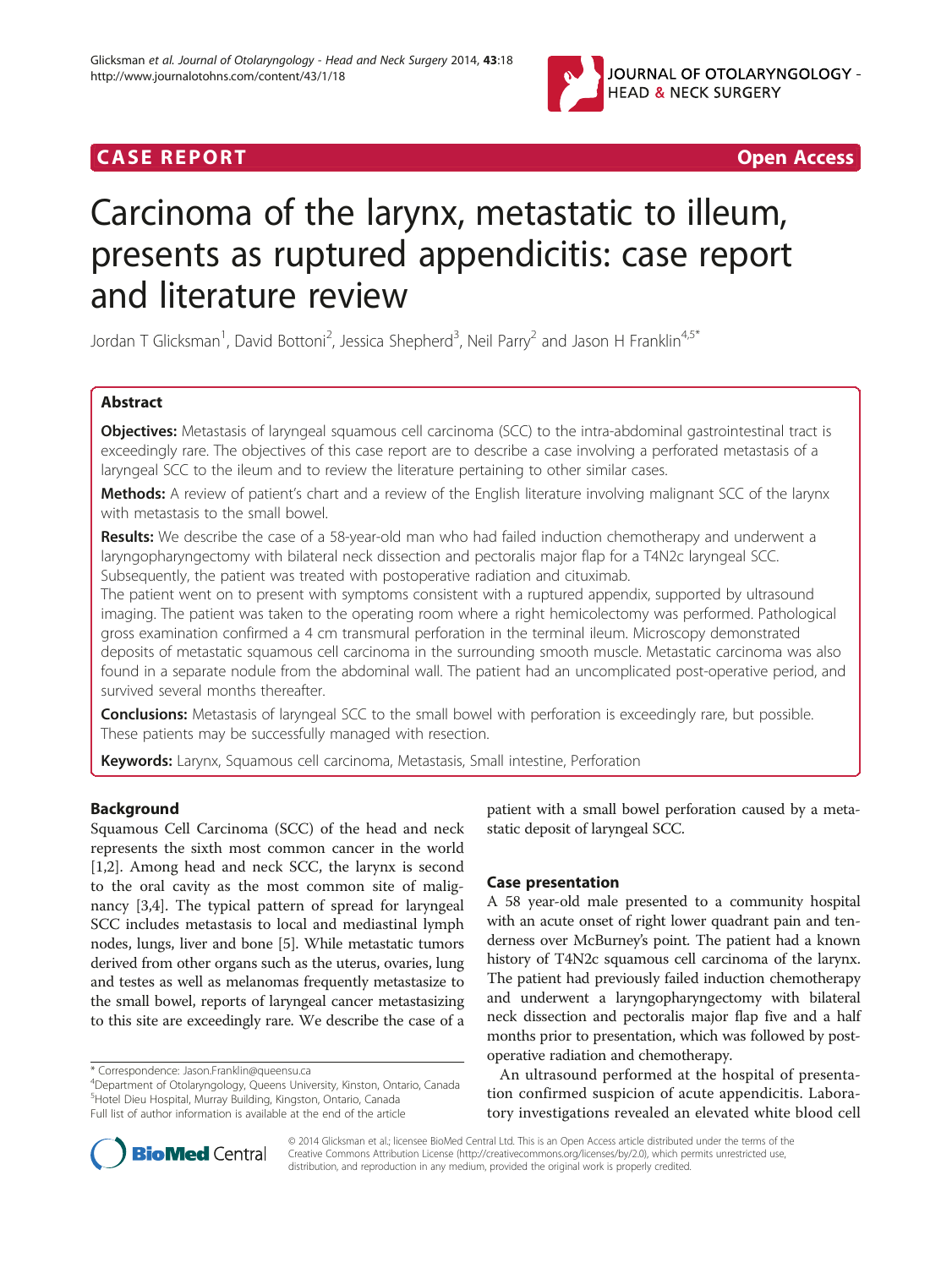

## **CASE REPORT CASE ACCESS CASE REPORT**

# Carcinoma of the larynx, metastatic to illeum, presents as ruptured appendicitis: case report and literature review

Jordan T Glicksman<sup>1</sup>, David Bottoni<sup>2</sup>, Jessica Shepherd<sup>3</sup>, Neil Parry<sup>2</sup> and Jason H Franklin<sup>4,5\*</sup>

## Abstract

Objectives: Metastasis of laryngeal squamous cell carcinoma (SCC) to the intra-abdominal gastrointestinal tract is exceedingly rare. The objectives of this case report are to describe a case involving a perforated metastasis of a laryngeal SCC to the ileum and to review the literature pertaining to other similar cases.

Methods: A review of patient's chart and a review of the English literature involving malignant SCC of the larynx with metastasis to the small bowel.

Results: We describe the case of a 58-year-old man who had failed induction chemotherapy and underwent a laryngopharyngectomy with bilateral neck dissection and pectoralis major flap for a T4N2c laryngeal SCC. Subsequently, the patient was treated with postoperative radiation and cituximab.

The patient went on to present with symptoms consistent with a ruptured appendix, supported by ultrasound imaging. The patient was taken to the operating room where a right hemicolectomy was performed. Pathological gross examination confirmed a 4 cm transmural perforation in the terminal ileum. Microscopy demonstrated deposits of metastatic squamous cell carcinoma in the surrounding smooth muscle. Metastatic carcinoma was also found in a separate nodule from the abdominal wall. The patient had an uncomplicated post-operative period, and survived several months thereafter.

**Conclusions:** Metastasis of laryngeal SCC to the small bowel with perforation is exceedingly rare, but possible. These patients may be successfully managed with resection.

Keywords: Larynx, Squamous cell carcinoma, Metastasis, Small intestine, Perforation

## Background

Squamous Cell Carcinoma (SCC) of the head and neck represents the sixth most common cancer in the world [[1,2\]](#page-2-0). Among head and neck SCC, the larynx is second to the oral cavity as the most common site of malignancy [\[3,4](#page-2-0)]. The typical pattern of spread for laryngeal SCC includes metastasis to local and mediastinal lymph nodes, lungs, liver and bone [\[5\]](#page-2-0). While metastatic tumors derived from other organs such as the uterus, ovaries, lung and testes as well as melanomas frequently metastasize to the small bowel, reports of laryngeal cancer metastasizing to this site are exceedingly rare. We describe the case of a

<sup>4</sup>Department of Otolaryngology, Queens University, Kinston, Ontario, Canada 5 Hotel Dieu Hospital, Murray Building, Kingston, Ontario, Canada Full list of author information is available at the end of the article

patient with a small bowel perforation caused by a metastatic deposit of laryngeal SCC.

## Case presentation

A 58 year-old male presented to a community hospital with an acute onset of right lower quadrant pain and tenderness over McBurney's point. The patient had a known history of T4N2c squamous cell carcinoma of the larynx. The patient had previously failed induction chemotherapy and underwent a laryngopharyngectomy with bilateral neck dissection and pectoralis major flap five and a half months prior to presentation, which was followed by postoperative radiation and chemotherapy.

An ultrasound performed at the hospital of presentation confirmed suspicion of acute appendicitis. Laboratory investigations revealed an elevated white blood cell



© 2014 Glicksman et al.; licensee BioMed Central Ltd. This is an Open Access article distributed under the terms of the Creative Commons Attribution License (<http://creativecommons.org/licenses/by/2.0>), which permits unrestricted use, distribution, and reproduction in any medium, provided the original work is properly credited.

<sup>\*</sup> Correspondence: [Jason.Franklin@queensu.ca](mailto:Jason.Franklin@queensu.ca) <sup>4</sup>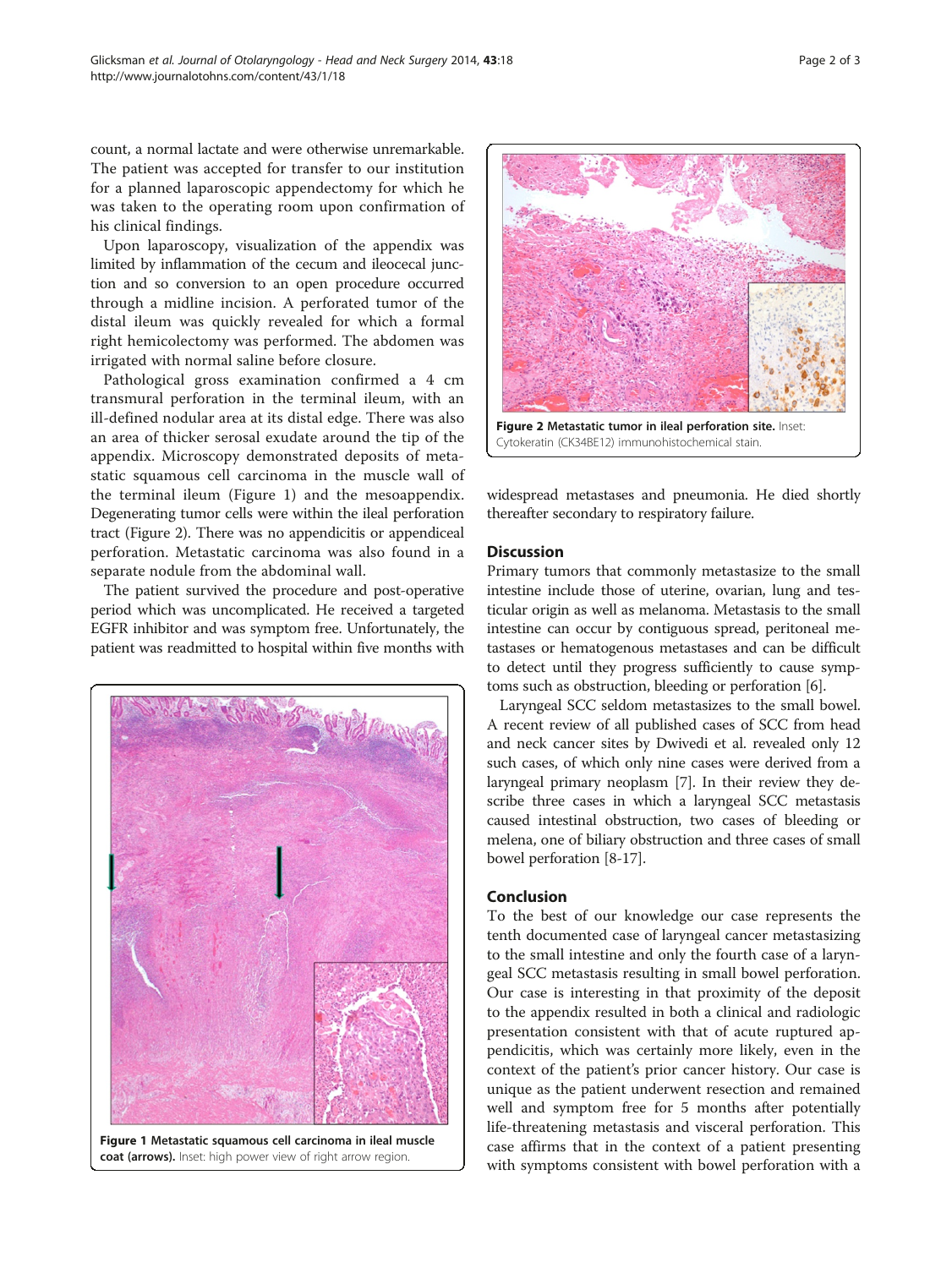count, a normal lactate and were otherwise unremarkable. The patient was accepted for transfer to our institution for a planned laparoscopic appendectomy for which he was taken to the operating room upon confirmation of his clinical findings.

Upon laparoscopy, visualization of the appendix was limited by inflammation of the cecum and ileocecal junction and so conversion to an open procedure occurred through a midline incision. A perforated tumor of the distal ileum was quickly revealed for which a formal right hemicolectomy was performed. The abdomen was irrigated with normal saline before closure.

Pathological gross examination confirmed a 4 cm transmural perforation in the terminal ileum, with an ill-defined nodular area at its distal edge. There was also an area of thicker serosal exudate around the tip of the appendix. Microscopy demonstrated deposits of metastatic squamous cell carcinoma in the muscle wall of the terminal ileum (Figure 1) and the mesoappendix. Degenerating tumor cells were within the ileal perforation tract (Figure 2). There was no appendicitis or appendiceal perforation. Metastatic carcinoma was also found in a separate nodule from the abdominal wall.

The patient survived the procedure and post-operative period which was uncomplicated. He received a targeted EGFR inhibitor and was symptom free. Unfortunately, the patient was readmitted to hospital within five months with



Figure 1 Metastatic squamous cell carcinoma in ileal muscle coat (arrows). Inset: high power view of right arrow region.



widespread metastases and pneumonia. He died shortly thereafter secondary to respiratory failure.

## **Discussion**

Primary tumors that commonly metastasize to the small intestine include those of uterine, ovarian, lung and testicular origin as well as melanoma. Metastasis to the small intestine can occur by contiguous spread, peritoneal metastases or hematogenous metastases and can be difficult to detect until they progress sufficiently to cause symptoms such as obstruction, bleeding or perforation [\[6](#page-2-0)].

Laryngeal SCC seldom metastasizes to the small bowel. A recent review of all published cases of SCC from head and neck cancer sites by Dwivedi et al. revealed only 12 such cases, of which only nine cases were derived from a laryngeal primary neoplasm [\[7](#page-2-0)]. In their review they describe three cases in which a laryngeal SCC metastasis caused intestinal obstruction, two cases of bleeding or melena, one of biliary obstruction and three cases of small bowel perforation [\[8-17](#page-2-0)].

## Conclusion

To the best of our knowledge our case represents the tenth documented case of laryngeal cancer metastasizing to the small intestine and only the fourth case of a laryngeal SCC metastasis resulting in small bowel perforation. Our case is interesting in that proximity of the deposit to the appendix resulted in both a clinical and radiologic presentation consistent with that of acute ruptured appendicitis, which was certainly more likely, even in the context of the patient's prior cancer history. Our case is unique as the patient underwent resection and remained well and symptom free for 5 months after potentially life-threatening metastasis and visceral perforation. This case affirms that in the context of a patient presenting with symptoms consistent with bowel perforation with a